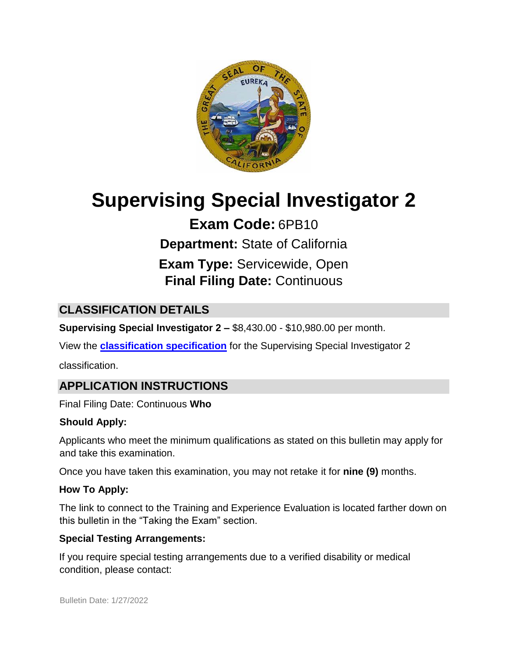

# **Supervising Special Investigator 2**

**Exam Code:** 6PB10 **Department:** State of California **Exam Type:** Servicewide, Open **Final Filing Date:** Continuous

# **CLASSIFICATION DETAILS**

**Supervising Special Investigator 2 –** \$8,430.00 - \$10,980.00 per month.

View the **[classification specification](http://www.calhr.ca.gov/state-hr-professionals/Pages/8547.aspx)** for the Supervising Special Investigator 2

classification.

# **APPLICATION INSTRUCTIONS**

Final Filing Date: Continuous **Who** 

#### **Should Apply:**

Applicants who meet the minimum qualifications as stated on this bulletin may apply for and take this examination.

Once you have taken this examination, you may not retake it for **nine (9)** months.

#### **How To Apply:**

The link to connect to the Training and Experience Evaluation is located farther down on this bulletin in the "Taking the Exam" section.

#### **Special Testing Arrangements:**

If you require special testing arrangements due to a verified disability or medical condition, please contact: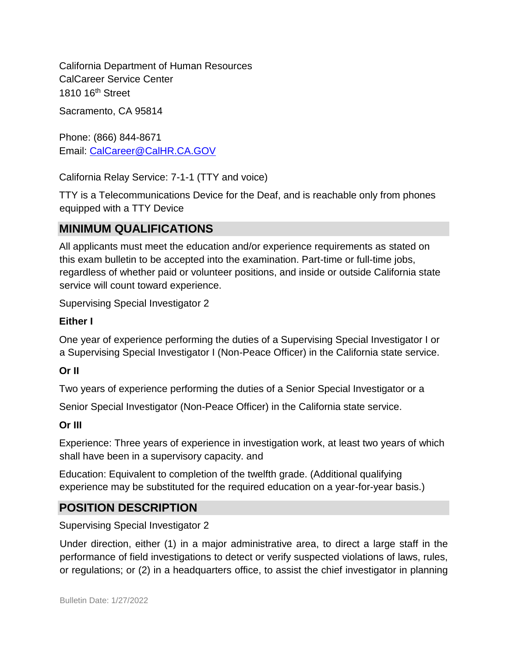California Department of Human Resources CalCareer Service Center 1810 16<sup>th</sup> Street

Sacramento, CA 95814

Phone: (866) 844-8671 Email: CalCareer@CalHR.CA.GOV

California Relay Service: 7-1-1 (TTY and voice)

TTY is a Telecommunications Device for the Deaf, and is reachable only from phones equipped with a TTY Device

## **MINIMUM QUALIFICATIONS**

All applicants must meet the education and/or experience requirements as stated on this exam bulletin to be accepted into the examination. Part-time or full-time jobs, regardless of whether paid or volunteer positions, and inside or outside California state service will count toward experience.

Supervising Special Investigator 2

#### **Either I**

One year of experience performing the duties of a Supervising Special Investigator I or a Supervising Special Investigator I (Non-Peace Officer) in the California state service.

#### **Or II**

Two years of experience performing the duties of a Senior Special Investigator or a

Senior Special Investigator (Non-Peace Officer) in the California state service.

#### **Or III**

Experience: Three years of experience in investigation work, at least two years of which shall have been in a supervisory capacity. and

Education: Equivalent to completion of the twelfth grade. (Additional qualifying experience may be substituted for the required education on a year-for-year basis.)

## **POSITION DESCRIPTION**

Supervising Special Investigator 2

Under direction, either (1) in a major administrative area, to direct a large staff in the performance of field investigations to detect or verify suspected violations of laws, rules, or regulations; or (2) in a headquarters office, to assist the chief investigator in planning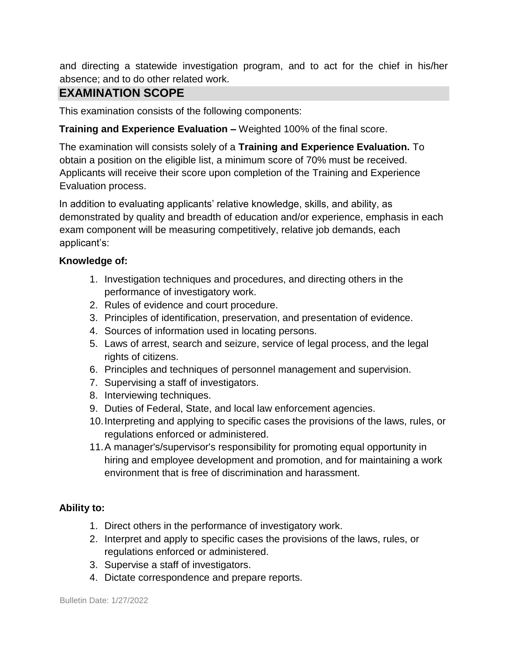and directing a statewide investigation program, and to act for the chief in his/her absence; and to do other related work.

## **EXAMINATION SCOPE**

This examination consists of the following components:

#### **Training and Experience Evaluation –** Weighted 100% of the final score.

The examination will consists solely of a **Training and Experience Evaluation.** To obtain a position on the eligible list, a minimum score of 70% must be received. Applicants will receive their score upon completion of the Training and Experience Evaluation process.

In addition to evaluating applicants' relative knowledge, skills, and ability, as demonstrated by quality and breadth of education and/or experience, emphasis in each exam component will be measuring competitively, relative job demands, each applicant's:

#### **Knowledge of:**

- 1. Investigation techniques and procedures, and directing others in the performance of investigatory work.
- 2. Rules of evidence and court procedure.
- 3. Principles of identification, preservation, and presentation of evidence.
- 4. Sources of information used in locating persons.
- 5. Laws of arrest, search and seizure, service of legal process, and the legal rights of citizens.
- 6. Principles and techniques of personnel management and supervision.
- 7. Supervising a staff of investigators.
- 8. Interviewing techniques.
- 9. Duties of Federal, State, and local law enforcement agencies.
- 10.Interpreting and applying to specific cases the provisions of the laws, rules, or regulations enforced or administered.
- 11.A manager's/supervisor's responsibility for promoting equal opportunity in hiring and employee development and promotion, and for maintaining a work environment that is free of discrimination and harassment.

#### **Ability to:**

- 1. Direct others in the performance of investigatory work.
- 2. Interpret and apply to specific cases the provisions of the laws, rules, or regulations enforced or administered.
- 3. Supervise a staff of investigators.
- 4. Dictate correspondence and prepare reports.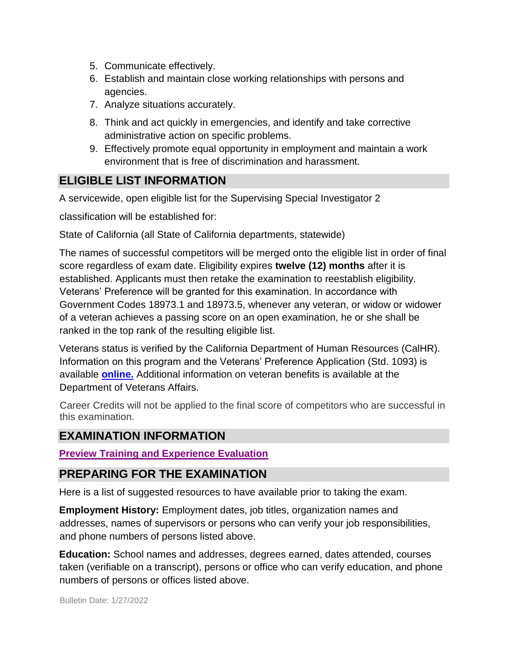- 5. Communicate effectively.
- 6. Establish and maintain close working relationships with persons and agencies.
- 7. Analyze situations accurately.
- 8. Think and act quickly in emergencies, and identify and take corrective administrative action on specific problems.
- 9. Effectively promote equal opportunity in employment and maintain a work environment that is free of discrimination and harassment.

## **ELIGIBLE LIST INFORMATION**

A servicewide, open eligible list for the Supervising Special Investigator 2

classification will be established for:

State of California (all State of California departments, statewide)

The names of successful competitors will be merged onto the eligible list in order of final score regardless of exam date. Eligibility expires **twelve (12) months** after it is established. Applicants must then retake the examination to reestablish eligibility. Veterans' Preference will be granted for this examination. In accordance with Government Codes 18973.1 and 18973.5, whenever any veteran, or widow or widower of a veteran achieves a passing score on an open examination, he or she shall be ranked in the top rank of the resulting eligible list.

Veterans status is verified by the California Department of Human Resources (CalHR). Information on this program and the Veterans' Preference Application (Std. 1093) is available **[online.](https://www.jobs.ca.gov/CalHRPublic/Landing/Jobs/VeteransInformation.aspx)** [A](https://www.jobs.ca.gov/CalHRPublic/Landing/Jobs/VeteransInformation.aspx)dditional information on veteran benefits is available at the Department of Veterans Affairs.

Career Credits will not be applied to the final score of competitors who are successful in this examination.

## **EXAMINATION INFORMATION**

**[Preview Training and Experience Evaluation](http://jobs.ca.gov/jobsgen/6PB10d.pdf)**

## **PREPARING FOR THE EXAMINATION**

Here is a list of suggested resources to have available prior to taking the exam.

**Employment History:** Employment dates, job titles, organization names and addresses, names of supervisors or persons who can verify your job responsibilities, and phone numbers of persons listed above.

**Education:** School names and addresses, degrees earned, dates attended, courses taken (verifiable on a transcript), persons or office who can verify education, and phone numbers of persons or offices listed above.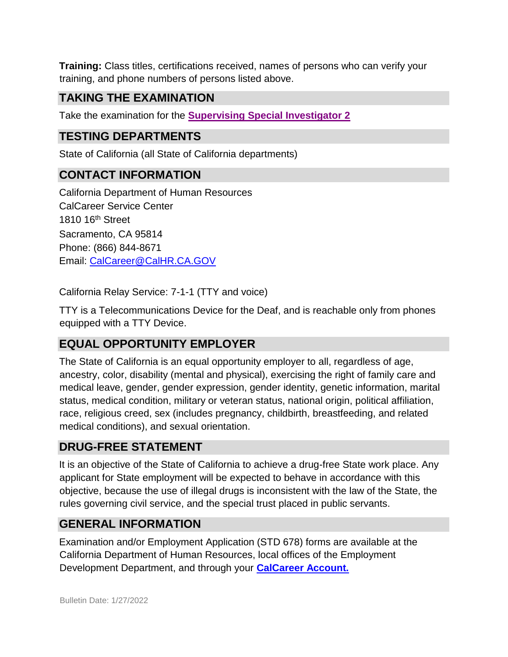**Training:** Class titles, certifications received, names of persons who can verify your training, and phone numbers of persons listed above.

## **TAKING THE EXAMINATION**

Take the examination for the **[Supervising](https://www.jobs.ca.gov/Public/Login.aspx?ExamId=6PB10) [Special Investigator 2](https://www.jobs.ca.gov/Public/Login.aspx?ExamId=6PB10)**

## **TESTING DEPARTMENTS**

State of California (all State of California departments)

## **CONTACT INFORMATION**

California Department of Human Resources CalCareer Service Center 1810 16<sup>th</sup> Street Sacramento, CA 95814 Phone: (866) 844-8671 Email: CalCareer@CalHR.CA.GOV

California Relay Service: 7-1-1 (TTY and voice)

TTY is a Telecommunications Device for the Deaf, and is reachable only from phones equipped with a TTY Device.

## **EQUAL OPPORTUNITY EMPLOYER**

The State of California is an equal opportunity employer to all, regardless of age, ancestry, color, disability (mental and physical), exercising the right of family care and medical leave, gender, gender expression, gender identity, genetic information, marital status, medical condition, military or veteran status, national origin, political affiliation, race, religious creed, sex (includes pregnancy, childbirth, breastfeeding, and related medical conditions), and sexual orientation.

## **DRUG-FREE STATEMENT**

It is an objective of the State of California to achieve a drug-free State work place. Any applicant for State employment will be expected to behave in accordance with this objective, because the use of illegal drugs is inconsistent with the law of the State, the rules governing civil service, and the special trust placed in public servants.

## **GENERAL INFORMATION**

Examination and/or Employment Application (STD 678) forms are available at the California Department of Human Resources, local offices of the Employment Development Department, and through your **[CalCareer Account.](http://www.jobs.ca.gov/)**